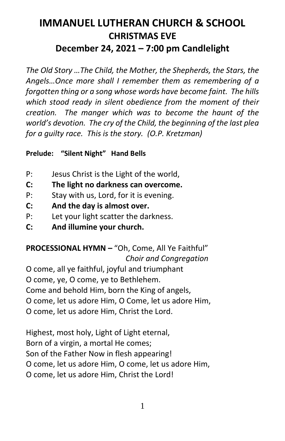# **IMMANUEL LUTHERAN CHURCH & SCHOOL CHRISTMAS EVE December 24, 2021 – 7:00 pm Candlelight**

*The Old Story …The Child, the Mother, the Shepherds, the Stars, the Angels…Once more shall I remember them as remembering of a forgotten thing or a song whose words have become faint. The hills which stood ready in silent obedience from the moment of their creation. The manger which was to become the haunt of the world's devotion. The cry of the Child, the beginning of the last plea for a guilty race. This is the story. (O.P. Kretzman)*

### **Prelude: "Silent Night" Hand Bells**

- P: Jesus Christ is the Light of the world,
- **C: The light no darkness can overcome.**
- P: Stay with us, Lord, for it is evening.
- **C: And the day is almost over.**
- P: Let your light scatter the darkness.
- **C: And illumine your church.**

# **PROCESSIONAL HYMN –** "Oh, Come, All Ye Faithful"  *Choir and Congregation*

O come, all ye faithful, joyful and triumphant

O come, ye, O come, ye to Bethlehem.

Come and behold Him, born the King of angels,

O come, let us adore Him, O Come, let us adore Him,

O come, let us adore Him, Christ the Lord.

Highest, most holy, Light of Light eternal, Born of a virgin, a mortal He comes; Son of the Father Now in flesh appearing! O come, let us adore Him, O come, let us adore Him, O come, let us adore Him, Christ the Lord!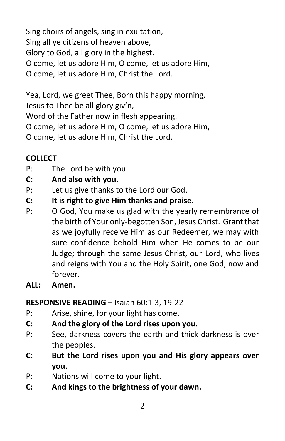Sing choirs of angels, sing in exultation, Sing all ye citizens of heaven above, Glory to God, all glory in the highest. O come, let us adore Him, O come, let us adore Him, O come, let us adore Him, Christ the Lord.

Yea, Lord, we greet Thee, Born this happy morning,

Jesus to Thee be all glory giv'n,

Word of the Father now in flesh appearing.

O come, let us adore Him, O come, let us adore Him,

O come, let us adore Him, Christ the Lord.

## **COLLECT**

- P: The Lord be with you.
- **C: And also with you.**
- P: Let us give thanks to the Lord our God.
- **C: It is right to give Him thanks and praise.**
- P: O God, You make us glad with the yearly remembrance of the birth of Your only-begotten Son, Jesus Christ. Grant that as we joyfully receive Him as our Redeemer, we may with sure confidence behold Him when He comes to be our Judge; through the same Jesus Christ, our Lord, who lives and reigns with You and the Holy Spirit, one God, now and forever.
- **ALL: Amen.**

### **RESPONSIVE READING –** Isaiah 60:1-3, 19-22

- P: Arise, shine, for your light has come,
- **C: And the glory of the Lord rises upon you.**
- P: See, darkness covers the earth and thick darkness is over the peoples.
- **C: But the Lord rises upon you and His glory appears over you.**
- P: Nations will come to your light.
- **C: And kings to the brightness of your dawn.**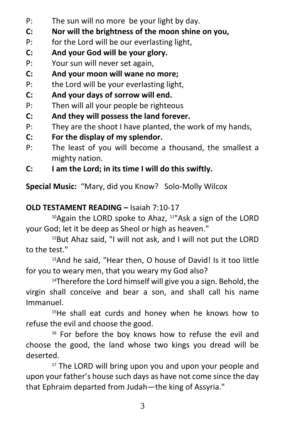- P: The sun will no more be your light by day.
- **C: Nor will the brightness of the moon shine on you,**
- P: for the Lord will be our everlasting light,
- **C: And your God will be your glory.**
- P: Your sun will never set again,
- **C: And your moon will wane no more;**
- P: the Lord will be your everlasting light,
- **C: And your days of sorrow will end.**
- P: Then will all your people be righteous
- **C: And they will possess the land forever.**
- P: They are the shoot I have planted, the work of my hands,
- **C: For the display of my splendor.**
- P: The least of you will become a thousand, the smallest a mighty nation.
- **C: I am the Lord; in its time I will do this swiftly.**

**Special Music:** "Mary, did you Know? Solo-Molly Wilcox

# **OLD TESTAMENT READING –** Isaiah 7:10-17

10Again the LORD spoke to Ahaz, <sup>11"</sup>Ask a sign of the LORD your God; let it be deep as Sheol or high as heaven."

 $12$ But Ahaz said. "I will not ask, and I will not put the LORD to the test."

13And he said, "Hear then, O house of David! Is it too little for you to weary men, that you weary my God also?

<sup>14</sup>Therefore the Lord himself will give you a sign. Behold, the virgin shall conceive and bear a son, and shall call his name Immanuel.

<sup>15</sup>He shall eat curds and honey when he knows how to refuse the evil and choose the good.

<sup>16</sup> For before the boy knows how to refuse the evil and choose the good, the land whose two kings you dread will be deserted.

<sup>17</sup> The LORD will bring upon you and upon your people and upon your father's house such days as have not come since the day that Ephraim departed from Judah—the king of Assyria."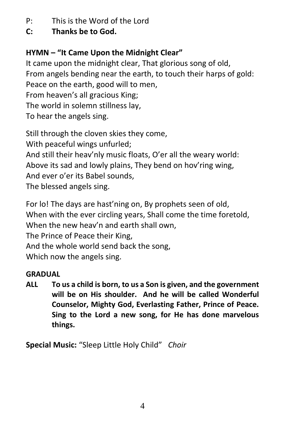- P: This is the Word of the Lord
- **C: Thanks be to God.**

# **HYMN – "It Came Upon the Midnight Clear"**

It came upon the midnight clear, That glorious song of old, From angels bending near the earth, to touch their harps of gold: Peace on the earth, good will to men, From heaven's all gracious King; The world in solemn stillness lay, To hear the angels sing.

Still through the cloven skies they come, With peaceful wings unfurled; And still their heav'nly music floats, O'er all the weary world: Above its sad and lowly plains, They bend on hov'ring wing, And ever o'er its Babel sounds, The blessed angels sing.

For lo! The days are hast'ning on, By prophets seen of old, When with the ever circling years, Shall come the time foretold, When the new heav'n and earth shall own, The Prince of Peace their King, And the whole world send back the song, Which now the angels sing.

# **GRADUAL**

**ALL To us a child is born, to us a Son is given, and the government will be on His shoulder. And he will be called Wonderful Counselor, Mighty God, Everlasting Father, Prince of Peace. Sing to the Lord a new song, for He has done marvelous things.**

**Special Music:** "Sleep Little Holy Child" *Choir*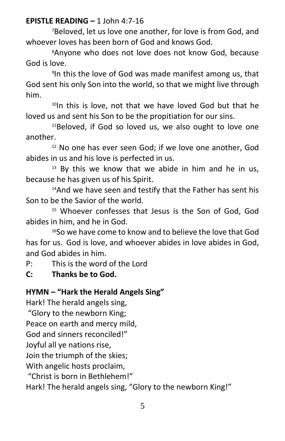### **EPISTLE READING –** 1 John 4:7-16

<sup>7</sup>Beloved, let us love one another, for love is from God, and whoever loves has been born of God and knows God.

<sup>8</sup>Anyone who does not love does not know God, because God is love.

9 In this the love of God was made manifest among us, that God sent his only Son into the world, so that we might live through him.

<sup>10</sup>In this is love, not that we have loved God but that he loved us and sent his Son to be the propitiation for our sins.

<sup>11</sup>Beloved, if God so loved us, we also ought to love one another.

<sup>12</sup> No one has ever seen God; if we love one another, God abides in us and his love is perfected in us.

<sup>13</sup> By this we know that we abide in him and he in us, because he has given us of his Spirit.

<sup>14</sup>And we have seen and testify that the Father has sent his Son to be the Savior of the world.

<sup>15</sup> Whoever confesses that Jesus is the Son of God, God abides in him, and he in God.

<sup>16</sup>So we have come to know and to believe the love that God has for us. God is love, and whoever abides in love abides in God, and God abides in him.

P: This is the word of the Lord

## **C: Thanks be to God.**

## **HYMN – "Hark the Herald Angels Sing"**

Hark! The herald angels sing, "Glory to the newborn King; Peace on earth and mercy mild, God and sinners reconciled!" Joyful all ye nations rise, Join the triumph of the skies; With angelic hosts proclaim, "Christ is born in Bethlehem!"

Hark! The herald angels sing, "Glory to the newborn King!"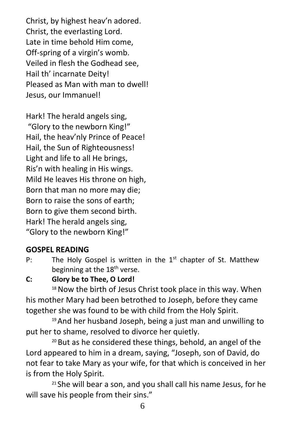Christ, by highest heav'n adored. Christ, the everlasting Lord. Late in time behold Him come, Off-spring of a virgin's womb. Veiled in flesh the Godhead see, Hail th' incarnate Deity! Pleased as Man with man to dwell! Jesus, our Immanuel!

Hark! The herald angels sing, "Glory to the newborn King!" Hail, the heav'nly Prince of Peace! Hail, the Sun of Righteousness! Light and life to all He brings, Ris'n with healing in His wings. Mild He leaves His throne on high, Born that man no more may die; Born to raise the sons of earth; Born to give them second birth. Hark! The herald angels sing, "Glory to the newborn King!"

## **GOSPEL READING**

P: The Holy Gospel is written in the  $1<sup>st</sup>$  chapter of St. Matthew beginning at the 18<sup>th</sup> verse.

### **C: Glory be to Thee, O Lord!**

<sup>18</sup> Now the birth of Jesus Christ took place in this way. When his mother Mary had been betrothed to Joseph, before they came together she was found to be with child from the Holy Spirit.

<sup>19</sup>And her husband Joseph, being a just man and unwilling to put her to shame, resolved to divorce her quietly.

<sup>20</sup> But as he considered these things, behold, an angel of the Lord appeared to him in a dream, saying, "Joseph, son of David, do not fear to take Mary as your wife, for that which is conceived in her is from the Holy Spirit.

 $21$  She will bear a son, and you shall call his name Jesus, for he will save his people from their sins."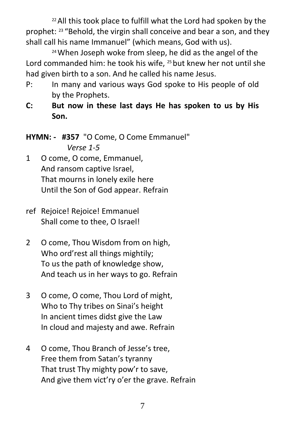$22$  All this took place to fulfill what the Lord had spoken by the prophet: <sup>23</sup> "Behold, the virgin shall conceive and bear a son, and they shall call his name Immanuel" (which means, God with us).

<sup>24</sup> When Joseph woke from sleep, he did as the angel of the Lord commanded him: he took his wife, <sup>25</sup> but knew her not until she had given birth to a son. And he called his name Jesus.

- P: In many and various ways God spoke to His people of old by the Prophets.
- **C: But now in these last days He has spoken to us by His Son.**
- **HYMN: #357** "O Come, O Come Emmanuel" *Verse 1-5*
- 1 O come, O come, Emmanuel, And ransom captive Israel, That mourns in lonely exile here Until the Son of God appear. Refrain
- ref Rejoice! Rejoice! Emmanuel Shall come to thee, O Israel!
- 2 O come, Thou Wisdom from on high, Who ord'rest all things mightily; To us the path of knowledge show, And teach us in her ways to go. Refrain
- 3 O come, O come, Thou Lord of might, Who to Thy tribes on Sinai's height In ancient times didst give the Law In cloud and majesty and awe. Refrain
- 4 O come, Thou Branch of Jesse's tree, Free them from Satan's tyranny That trust Thy mighty pow'r to save, And give them vict'ry o'er the grave. Refrain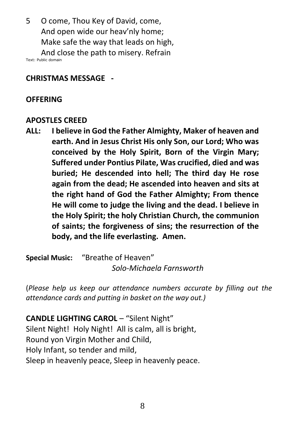5 O come, Thou Key of David, come, And open wide our heav'nly home; Make safe the way that leads on high, And close the path to misery. Refrain

Text: Public domain

#### **CHRISTMAS MESSAGE -**

#### **OFFERING**

#### **APOSTLES CREED**

**ALL: I believe in God the Father Almighty, Maker of heaven and earth. And in Jesus Christ His only Son, our Lord; Who was conceived by the Holy Spirit, Born of the Virgin Mary; Suffered under Pontius Pilate, Was crucified, died and was buried; He descended into hell; The third day He rose again from the dead; He ascended into heaven and sits at the right hand of God the Father Almighty; From thence He will come to judge the living and the dead. I believe in the Holy Spirit; the holy Christian Church, the communion of saints; the forgiveness of sins; the resurrection of the body, and the life everlasting. Amen.**

**Special Music:** "Breathe of Heaven" *Solo-Michaela Farnsworth*

(*Please help us keep our attendance numbers accurate by filling out the attendance cards and putting in basket on the way out.)*

**CANDLE LIGHTING CAROL** – "Silent Night" Silent Night! Holy Night! All is calm, all is bright, Round yon Virgin Mother and Child, Holy Infant, so tender and mild, Sleep in heavenly peace, Sleep in heavenly peace.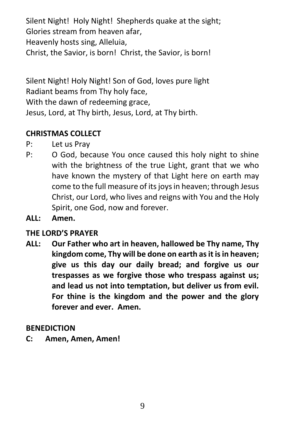Silent Night! Holy Night! Shepherds quake at the sight; Glories stream from heaven afar, Heavenly hosts sing, Alleluia, Christ, the Savior, is born! Christ, the Savior, is born!

Silent Night! Holy Night! Son of God, loves pure light Radiant beams from Thy holy face, With the dawn of redeeming grace, Jesus, Lord, at Thy birth, Jesus, Lord, at Thy birth.

# **CHRISTMAS COLLECT**

- P: Let us Pray
- P: O God, because You once caused this holy night to shine with the brightness of the true Light, grant that we who have known the mystery of that Light here on earth may come to the full measure of its joys in heaven; through Jesus Christ, our Lord, who lives and reigns with You and the Holy Spirit, one God, now and forever.
- **ALL: Amen.**

## **THE LORD'S PRAYER**

**ALL: Our Father who art in heaven, hallowed be Thy name, Thy kingdom come, Thy will be done on earth as it is in heaven; give us this day our daily bread; and forgive us our trespasses as we forgive those who trespass against us; and lead us not into temptation, but deliver us from evil. For thine is the kingdom and the power and the glory forever and ever. Amen.**

## **BENEDICTION**

**C: Amen, Amen, Amen!**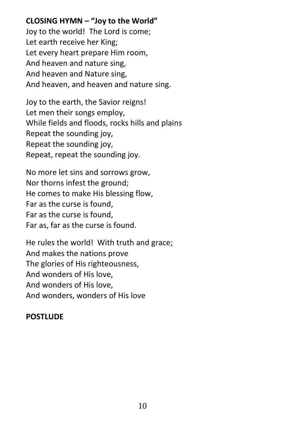## **CLOSING HYMN – "Joy to the World"**

Joy to the world! The Lord is come; Let earth receive her King; Let every heart prepare Him room, And heaven and nature sing, And heaven and Nature sing, And heaven, and heaven and nature sing.

Joy to the earth, the Savior reigns! Let men their songs employ, While fields and floods, rocks hills and plains Repeat the sounding joy, Repeat the sounding joy, Repeat, repeat the sounding joy.

No more let sins and sorrows grow, Nor thorns infest the ground; He comes to make His blessing flow, Far as the curse is found, Far as the curse is found, Far as, far as the curse is found.

He rules the world! With truth and grace; And makes the nations prove The glories of His righteousness, And wonders of His love, And wonders of His love, And wonders, wonders of His love

## **POSTLUDE**